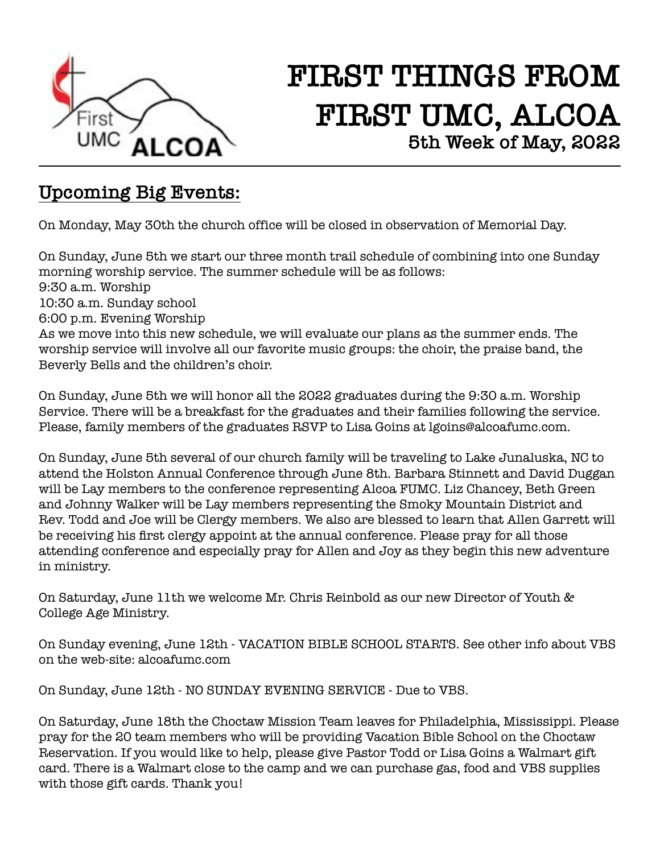

# **FIRST THINGS FROM FIRST UMC, ALCOA 5th Week of May, 2022**

#### **Upcoming Big Events:**

On Monday, May 30th the church office will be closed in observation of Memorial Day.

On Sunday, June 5th we start our three month trail schedule of combining into one Sunday morning worship service. The summer schedule will be as follows: 9:30 a.m. Worship 10:30 a.m. Sunday school 6:00 p.m. Evening Worship As we move into this new schedule, we will evaluate our plans as the summer ends. The worship service will involve all our favorite music groups: the choir, the praise band, the Beverly Bells and the children's choir.

On Sunday, June 5th we will honor all the 2022 graduates during the 9:30 a.m. Worship Service. There will be a breakfast for the graduates and their families following the service. Please, family members of the graduates RSVP to Lisa Goins at lgoins@alcoafumc.com.

On Sunday, June 5th several of our church family will be traveling to Lake Junaluska, NC to attend the Holston Annual Conference through June 8th. Barbara Stinnett and David Duggan will be Lay members to the conference representing Alcoa FUMC. Liz Chancey, Beth Green and Johnny Walker will be Lay members representing the Smoky Mountain District and Rev. Todd and Joe will be Clergy members. We also are blessed to learn that Allen Garrett will be receiving his first clergy appoint at the annual conference. Please pray for all those attending conference and especially pray for Allen and Joy as they begin this new adventure in ministry.

On Saturday, June 11th we welcome Mr. Chris Reinbold as our new Director of Youth & College Age Ministry.

On Sunday evening, June 12th - VACATION BIBLE SCHOOL STARTS. See other info about VBS on the web-site: alcoafumc.com

On Sunday, June 12th - NO SUNDAY EVENING SERVICE - Due to VBS.

On Saturday, June 18th the Choctaw Mission Team leaves for Philadelphia, Mississippi. Please pray for the 20 team members who will be providing Vacation Bible School on the Choctaw Reservation. If you would like to help, please give Pastor Todd or Lisa Goins a Walmart gift card. There is a Walmart close to the camp and we can purchase gas, food and VBS supplies with those gift cards. Thank you!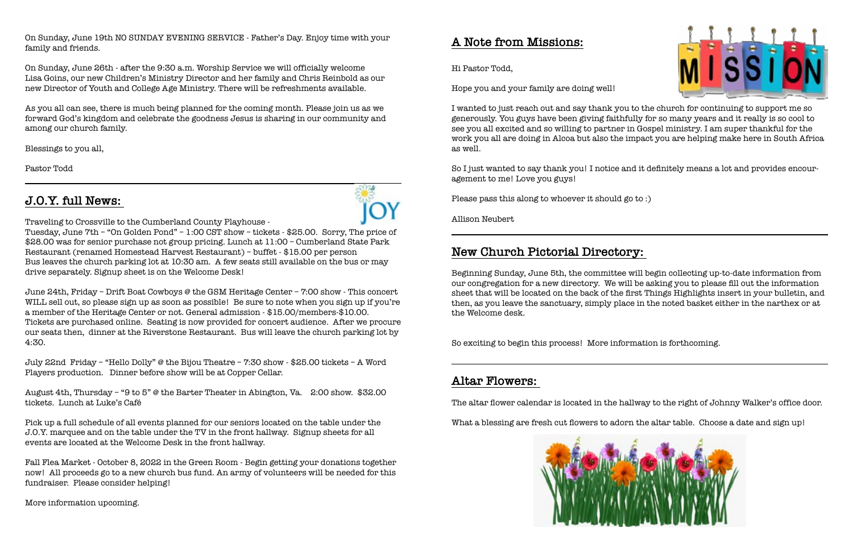On Sunday, June 19th NO SUNDAY EVENING SERVICE - Father's Day. Enjoy time with your family and friends.

On Sunday, June 26th - after the 9:30 a.m. Worship Service we will officially welcome Lisa Goins, our new Children's Ministry Director and her family and Chris Reinbold as our new Director of Youth and College Age Ministry. There will be refreshments available.

As you all can see, there is much being planned for the coming month. Please join us as we forward God's kingdom and celebrate the goodness Jesus is sharing in our community and among our church family.

Blessings to you all,

Pastor Todd

#### **J.O.Y. full News:**



Tuesday, June 7th – "On Golden Pond" – 1:00 CST show – tickets - \$25.00. Sorry, The price of \$28.00 was for senior purchase not group pricing. Lunch at 11:00 – Cumberland State Park Restaurant (renamed Homestead Harvest Restaurant) – buffet - \$15.00 per person Bus leaves the church parking lot at 10:30 am. A few seats still available on the bus or may drive separately. Signup sheet is on the Welcome Desk!

June 24th, Friday – Drift Boat Cowboys @ the GSM Heritage Center – 7:00 show - This concert WILL sell out, so please sign up as soon as possible! Be sure to note when you sign up if you're a member of the Heritage Center or not. General admission - \$15.00/members-\$10.00. Tickets are purchased online. Seating is now provided for concert audience. After we procure our seats then, dinner at the Riverstone Restaurant. Bus will leave the church parking lot by 4:30.

July 22nd Friday – "Hello Dolly" @ the Bijou Theatre – 7:30 show - \$25.00 tickets – A Word Players production. Dinner before show will be at Copper Cellar.

August 4th, Thursday – "9 to 5" @ the Barter Theater in Abington, Va. 2:00 show. \$32.00 tickets. Lunch at Luke's Café

Pick up a full schedule of all events planned for our seniors located on the table under the J.O.Y. marquee and on the table under the TV in the front hallway. Signup sheets for all events are located at the Welcome Desk in the front hallway.

Fall Flea Market - October 8, 2022 in the Green Room - Begin getting your donations together now! All proceeds go to a new church bus fund. An army of volunteers will be needed for this fundraiser. Please consider helping!

More information upcoming.

#### **A Note from Missions:**

Hi Pastor Todd,

Hope you and your family are doing well!

I wanted to just reach out and say thank you to the church for continuing to support me so generously. You guys have been giving faithfully for so many years and it really is so cool to see you all excited and so willing to partner in Gospel ministry. I am super thankful for the work you all are doing in Alcoa but also the impact you are helping make here in South Africa as well.

So I just wanted to say thank you! I notice and it definitely means a lot and provides encouragement to me! Love you guys!

Please pass this along to whoever it should go to :)

Allison Neubert

### **New Church Pictorial Directory:**

Beginning Sunday, June 5th, the committee will begin collecting up-to-date information from our congregation for a new directory. We will be asking you to please fill out the information sheet that will be located on the back of the first Things Highlights insert in your bulletin, and then, as you leave the sanctuary, simply place in the noted basket either in the narthex or at the Welcome desk.

So exciting to begin this process! More information is forthcoming.

#### **Altar Flowers:**

The altar flower calendar is located in the hallway to the right of Johnny Walker's office door.

What a blessing are fresh cut flowers to adorn the altar table. Choose a date and sign up!





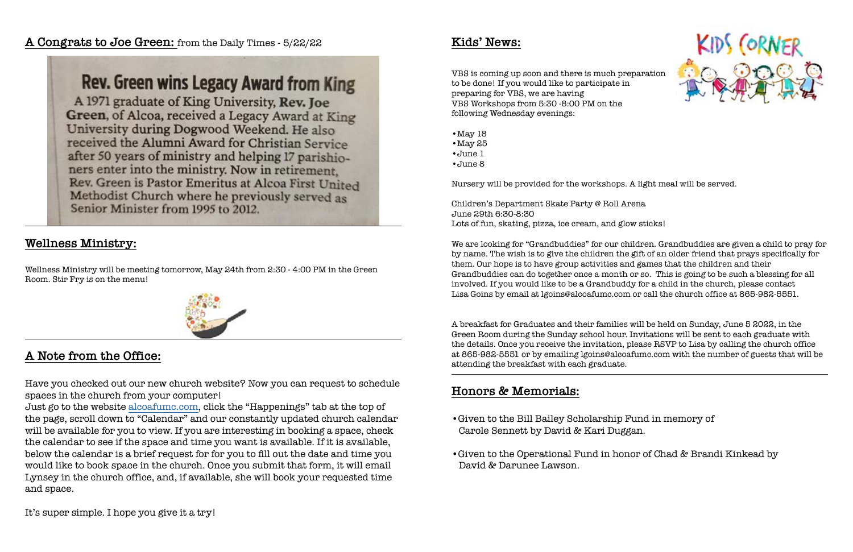### **A Congrats to Joe Green:** from the Daily Times - 5/22/22

Rev. Green wins Legacy Award from King A 1971 graduate of King University, Rev. Joe Green, of Alcoa, received a Legacy Award at King University during Dogwood Weekend. He also received the Alumni Award for Christian Service after 50 years of ministry and helping 17 parishioners enter into the ministry. Now in retirement. Rev. Green is Pastor Emeritus at Alcoa First United Methodist Church where he previously served as Senior Minister from 1995 to 2012.

#### **Wellness Ministry:**

Wellness Ministry will be meeting tomorrow, May 24th from 2:30 - 4:00 PM in the Green Room. Stir Fry is on the menu!



### **A Note from the Office:**

Have you checked out our new church website? Now you can request to schedule spaces in the church from your computer!

Just go to the website [alcoafumc.com](http://alcoafumc.com), click the "Happenings" tab at the top of the page, scroll down to "Calendar" and our constantly updated church calendar will be available for you to view. If you are interesting in booking a space, check the calendar to see if the space and time you want is available. If it is available, below the calendar is a brief request for for you to fill out the date and time you would like to book space in the church. Once you submit that form, it will email Lynsey in the church office, and, if available, she will book your requested time and space.

It's super simple. I hope you give it a try!

#### **Kids' News:**

VBS is coming up soon and there is much preparation to be done! If you would like to participate in preparing for VBS, we are having VBS Workshops from 5:30 -8:00 PM on the following Wednesday evenings:

- •May 18
- •May 25
- •June 1
- •June 8

Nursery will be provided for the workshops. A light meal will be served.

Children's Department Skate Party @ Roll Arena June 29th 6:30-8:30 Lots of fun, skating, pizza, ice cream, and glow sticks!

We are looking for "Grandbuddies" for our children. Grandbuddies are given a child to pray for by name. The wish is to give the children the gift of an older friend that prays specifically for them. Our hope is to have group activities and games that the children and their Grandbuddies can do together once a month or so. This is going to be such a blessing for all involved. If you would like to be a Grandbuddy for a child in the church, please contact Lisa Goins by email at lgoins@alcoafumc.com or call the church office at 865-982-5551.

A breakfast for Graduates and their families will be held on Sunday, June 5 2022, in the Green Room during the Sunday school hour. Invitations will be sent to each graduate with the details. Once you receive the invitation, please RSVP to Lisa by calling the church office at 865-982-5551 or by emailing lgoins@alcoafumc.com with the number of guests that will be attending the breakfast with each graduate.

### **Honors & Memorials:**

- •Given to the Bill Bailey Scholarship Fund in memory of Carole Sennett by David & Kari Duggan.
- •Given to the Operational Fund in honor of Chad & Brandi Kinkead by David & Darunee Lawson.